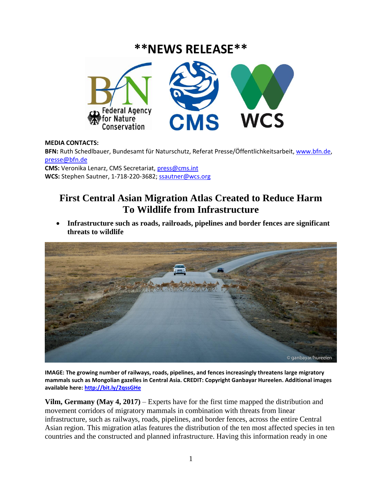# **\*\*NEWS RELEASE\*\***



### **MEDIA CONTACTS:**

**BFN:** Ruth Schedlbauer, Bundesamt für Naturschutz, Referat Presse/Öffentlichkeitsarbeit[, www.bfn.de,](http://www.bfn.de/) [presse@bfn.de](mailto:presse@bfn.de)

**CMS:** Veronika Lenarz, CMS Secretariat, [press@cms.int](mailto:press@cms.int) **WCS:** Stephen Sautner, 1-718-220-3682; [ssautner@wcs.org](mailto:ssautner@wcs.org)

## **First Central Asian Migration Atlas Created to Reduce Harm To Wildlife from Infrastructure**

 **Infrastructure such as roads, railroads, pipelines and border fences are significant threats to wildlife**



**IMAGE: The growing number of railways, roads, pipelines, and fences increasingly threatens large migratory mammals such as Mongolian gazelles in Central Asia. CREDIT: Copyright Ganbayar Hureelen. Additional images available here: <http://bit.ly/2qssGHe>**

**Vilm, Germany (May 4, 2017)** – Experts have for the first time mapped the distribution and movement corridors of migratory mammals in combination with threats from linear infrastructure, such as railways, roads, pipelines, and border fences, across the entire Central Asian region. This migration atlas features the distribution of the ten most affected species in ten countries and the constructed and planned infrastructure. Having this information ready in one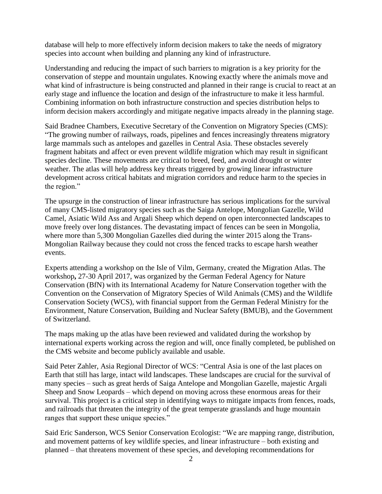database will help to more effectively inform decision makers to take the needs of migratory species into account when building and planning any kind of infrastructure.

Understanding and reducing the impact of such barriers to migration is a key priority for the conservation of steppe and mountain ungulates. Knowing exactly where the animals move and what kind of infrastructure is being constructed and planned in their range is crucial to react at an early stage and influence the location and design of the infrastructure to make it less harmful. Combining information on both infrastructure construction and species distribution helps to inform decision makers accordingly and mitigate negative impacts already in the planning stage.

Said Bradnee Chambers, Executive Secretary of the Convention on Migratory Species (CMS): "The growing number of railways, roads, pipelines and fences increasingly threatens migratory large mammals such as antelopes and gazelles in Central Asia. These obstacles severely fragment habitats and affect or even prevent wildlife migration which may result in significant species decline. These movements are critical to breed, feed, and avoid drought or winter weather. The atlas will help address key threats triggered by growing linear infrastructure development across critical habitats and migration corridors and reduce harm to the species in the region."

The upsurge in the construction of linear infrastructure has serious implications for the survival of many CMS-listed migratory species such as the Saiga Antelope, Mongolian Gazelle, Wild Camel, Asiatic Wild Ass and Argali Sheep which depend on open interconnected landscapes to move freely over long distances. The devastating impact of fences can be seen in Mongolia, where more than 5,300 Mongolian Gazelles died during the winter 2015 along the Trans-Mongolian Railway because they could not cross the fenced tracks to escape harsh weather events.

Experts attending a workshop on the Isle of Vilm, Germany, created the Migration Atlas. The workshop**,** 27-30 April 2017, was organized by the German Federal Agency for Nature Conservation (BfN) with its International Academy for Nature Conservation together with the Convention on the Conservation of Migratory Species of Wild Animals (CMS) and the Wildlife Conservation Society (WCS), with financial support from the German Federal Ministry for the Environment, Nature Conservation, Building and Nuclear Safety (BMUB), and the Government of Switzerland.

The maps making up the atlas have been reviewed and validated during the workshop by international experts working across the region and will, once finally completed, be published on the CMS website and become publicly available and usable.

Said Peter Zahler, Asia Regional Director of WCS: "Central Asia is one of the last places on Earth that still has large, intact wild landscapes. These landscapes are crucial for the survival of many species – such as great herds of Saiga Antelope and Mongolian Gazelle, majestic Argali Sheep and Snow Leopards – which depend on moving across these enormous areas for their survival. This project is a critical step in identifying ways to mitigate impacts from fences, roads, and railroads that threaten the integrity of the great temperate grasslands and huge mountain ranges that support these unique species."

Said Eric Sanderson, WCS Senior Conservation Ecologist: "We are mapping range, distribution, and movement patterns of key wildlife species, and linear infrastructure – both existing and planned – that threatens movement of these species, and developing recommendations for